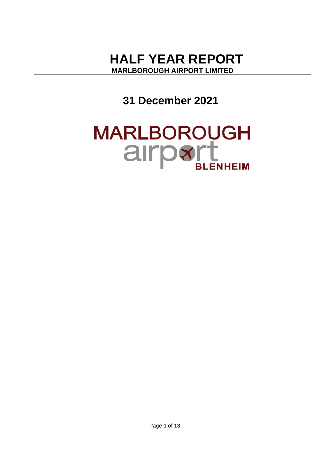# **HALF YEAR REPORT MARLBOROUGH AIRPORT LIMITED**

**31 December 2021**

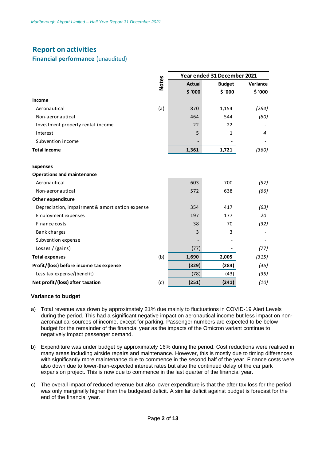# **Report on activities**

## **Financial performance** (unaudited)

|                                                 |       | Year ended 31 December 2021 |               |          |
|-------------------------------------------------|-------|-----------------------------|---------------|----------|
|                                                 | Notes | <b>Actual</b>               | <b>Budget</b> | Variance |
|                                                 |       | \$ '000                     | \$ '000       | \$ '000  |
| Income                                          |       |                             |               |          |
| Aeronautical                                    | (a)   | 870                         | 1,154         | (284)    |
| Non-aeronautical                                |       | 464                         | 544           | (80)     |
| Investment property rental income               |       | 22                          | 22            |          |
| Interest                                        |       | 5                           | 1             | 4        |
| Subvention income                               |       |                             |               |          |
| <b>Total income</b>                             |       | 1,361                       | 1,721         | (360)    |
|                                                 |       |                             |               |          |
| <b>Expenses</b>                                 |       |                             |               |          |
| <b>Operations and maintenance</b>               |       |                             |               |          |
| Aeronautical                                    |       | 603                         | 700           | (97)     |
| Non-aeronautical                                |       | 572                         | 638           | (66)     |
| Other expenditure                               |       |                             |               |          |
| Depreciation, impairment & amortisation expense |       | 354                         | 417           | (63)     |
| Employment expenses                             |       | 197                         | 177           | 20       |
| Finance costs                                   |       | 38                          | 70            | (32)     |
| Bank charges                                    |       | 3                           | 3             |          |
| Subvention expense                              |       |                             |               |          |
| Losses / (gains)                                |       | (77)                        |               | (77)     |
| <b>Total expenses</b>                           | (b)   | 1,690                       | 2,005         | (315)    |
| Profit/(loss) before income tax expense         |       | (329)                       | (284)         | (45)     |
| Less tax expense/(benefit)                      |       | (78)                        | (43)          | (35)     |
| Net profit/(loss) after taxation                | (c)   | (251)                       | (241)         | (10)     |

#### **Variance to budget**

- a) Total revenue was down by approximately 21% due mainly to fluctuations in COVID-19 Alert Levels during the period. This had a significant negative impact on aeronautical income but less impact on nonaeronautical sources of income, except for parking. Passenger numbers are expected to be below budget for the remainder of the financial year as the impacts of the Omicron variant continue to negatively impact passenger demand.
- b) Expenditure was under budget by approximately 16% during the period. Cost reductions were realised in many areas including airside repairs and maintenance. However, this is mostly due to timing differences with significantly more maintenance due to commence in the second half of the year. Finance costs were also down due to lower-than-expected interest rates but also the continued delay of the car park expansion project. This is now due to commence in the last quarter of the financial year.
- c) The overall impact of reduced revenue but also lower expenditure is that the after tax loss for the period was only marginally higher than the budgeted deficit. A similar deficit against budget is forecast for the end of the financial year.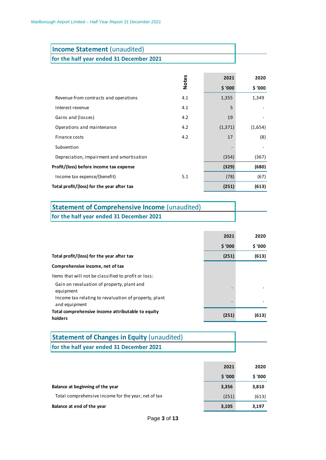| <b>Income Statement (unaudited)</b>      |
|------------------------------------------|
| for the half year ended 31 December 2021 |

|                                                                    | <b>Notes</b> | 2021     | 2020    |
|--------------------------------------------------------------------|--------------|----------|---------|
|                                                                    |              | \$ '000  | \$ '000 |
| Revenue from contracts and operations                              | 4.1          | 1,355    | 1,349   |
| Interest revenue                                                   | 4.1          | 5        |         |
| Gains and (losses)                                                 | 4.2          | 19       |         |
| Operations and maintenance                                         | 4.2          | (1, 371) | (1,654) |
| Finance costs                                                      | 4.2          | 17       | (8)     |
| Subvention                                                         |              |          |         |
| Depreciation, impairment and amortisation                          |              | (354)    | (367)   |
| Profit/(loss) before income tax expense                            |              | (329)    | (680)   |
| Income tax expense/(benefit)                                       | 5.1          | (78)     | (67)    |
| Total profit/(loss) for the year after tax                         |              | (251)    | (613)   |
|                                                                    |              |          |         |
| <b>Statement of Comprehensive Income (unaudited)</b>               |              |          |         |
| for the half year ended 31 December 2021                           |              |          |         |
|                                                                    |              |          |         |
|                                                                    |              | 2021     | 2020    |
|                                                                    |              | \$ '000  | \$ '000 |
| Total profit/(loss) for the year after tax                         |              | (251)    | (613)   |
| Comprehensive income, net of tax                                   |              |          |         |
| Items that will not be classified to profit or loss:               |              |          |         |
| Gain on revaluation of property, plant and                         |              |          |         |
| equipment<br>Income tax relating to revaluation of property, plant |              |          |         |
| and equipment                                                      |              |          |         |
| Total comprehensive income attributable to equity<br>holders       |              | (251)    | (613)   |
|                                                                    |              |          |         |
| <b>Statement of Changes in Equity (unaudited)</b>                  |              |          |         |
| for the half year ended 31 December 2021                           |              |          |         |
|                                                                    |              |          |         |
|                                                                    |              | 2021     | 2020    |
|                                                                    |              | \$ '000  | \$ '000 |
| Balance at beginning of the year                                   |              | 3,356    | 3,810   |
| Total comprehensive income for the year, net of tax                |              | (251)    | (613)   |
| Balance at end of the year                                         |              | 3,105    | 3,197   |

| <b>Statement of Comprehensive Income (unaudited)</b> |  |
|------------------------------------------------------|--|
| for the half year ended 31 December 2021             |  |

|                                                                        | 2021   | 2020    |
|------------------------------------------------------------------------|--------|---------|
|                                                                        | \$'000 | \$ '000 |
| Total profit/(loss) for the year after tax                             | (251)  | (613)   |
| Comprehensive income, net of tax                                       |        |         |
| Items that will not be classified to profit or loss:                   |        |         |
| Gain on revaluation of property, plant and<br>equipment                |        |         |
| Income tax relating to revaluation of property, plant<br>and equipment | -      |         |
| Total comprehensive income attributable to equity<br>holders           | (251)  | (613)   |

| <b>Statement of Changes in Equity (unaudited)</b> |
|---------------------------------------------------|
| for the half year ended 31 December 2021          |

|                                                     | 2021   | 2020   |
|-----------------------------------------------------|--------|--------|
|                                                     | \$'000 | \$'000 |
| Balance at beginning of the year                    | 3,356  | 3,810  |
| Total comprehensive income for the year, net of tax | (251)  | (613)  |
| Balance at end of the year                          | 3,105  | 3,197  |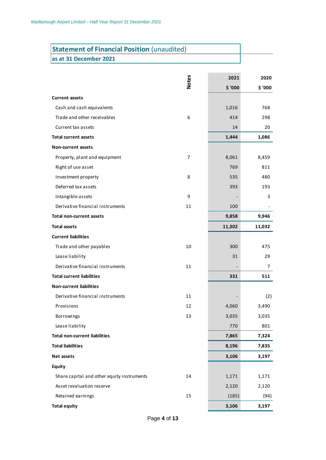# **Statement of Financial Position** (unaudited)

**as at 31 December 2021**

|                                            | <b>Notes</b>   | 2021    | 2020    |
|--------------------------------------------|----------------|---------|---------|
|                                            |                | \$ '000 | \$ '000 |
| <b>Current assets</b>                      |                |         |         |
| Cash and cash equivalents                  |                | 1,016   | 768     |
| Trade and other receivables                | 6              | 414     | 298     |
| Current tax assets                         |                | 14      | 20      |
| <b>Total current assets</b>                |                | 1,444   | 1,086   |
| <b>Non-current assets</b>                  |                |         |         |
| Property, plant and equipment              | $\overline{7}$ | 8,061   | 8,459   |
| Right of use asset                         |                | 769     | 811     |
| Investment property                        | 8              | 535     | 480     |
| Deferred tax assets                        |                | 393     | 193     |
| Intangible assets                          | 9              |         | 3       |
| Derivative financial instruments           | 11             | 100     |         |
| <b>Total non-current assets</b>            |                | 9,858   | 9,946   |
| <b>Total assets</b>                        |                | 11,302  | 11,032  |
| <b>Current liabilities</b>                 |                |         |         |
| Trade and other payables                   | 10             | 300     | 475     |
| Lease liability                            |                | 31      | 29      |
| Derivative financial instruments           | 11             |         | 7       |
| <b>Total current liabilities</b>           |                | 331     | 511     |
| <b>Non-current liabilities</b>             |                |         |         |
| Derivative financial instruments           | 11             |         | (2)     |
| Provisions                                 | 12             | 4,060   | 3,490   |
| <b>Borrowings</b>                          | 13             | 3,035   | 3,035   |
| Lease liability                            |                | 770     | 801     |
| <b>Total non-current liabilities</b>       |                | 7,865   | 7,324   |
| <b>Total liabilities</b>                   |                | 8,196   | 7,835   |
| Net assets                                 |                | 3,106   | 3,197   |
| <b>Equity</b>                              |                |         |         |
| Share capital and other equity instruments | 14             | 1,171   | 1,171   |
| Asset revaluation reserve                  |                | 2,120   | 2,120   |
| Retained earnings                          | 15             | (185)   | (94)    |
| <b>Total equity</b>                        |                | 3,106   | 3,197   |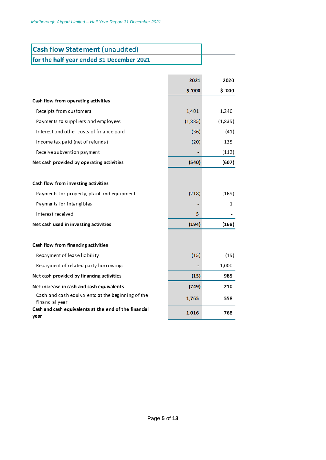| <b>Cash flow Statement (unaudited)</b>   |  |
|------------------------------------------|--|
| for the half year ended 31 December 2021 |  |

|                                                                     | 2021    | 2020    |
|---------------------------------------------------------------------|---------|---------|
|                                                                     | \$ '000 | \$ '000 |
| Cash flow from operating activities                                 |         |         |
| Receipts from customers                                             | 1,401   | 1,246   |
| Payments to suppliers and employees                                 | (1,885) | (1,835) |
| Interest and other costs of finance paid                            | (36)    | (41)    |
| Income tax paid (net of refunds)                                    | (20)    | 135     |
| Receive subvention payment                                          |         | (112)   |
| Net cash provided by operating activities                           | (540)   | (607)   |
|                                                                     |         |         |
| Cash flow from investing activities                                 |         |         |
| Payments for property, plant and equipment                          | (218)   | (169)   |
| Payments for intangibles                                            |         | 1       |
| Interest received                                                   | 5.      |         |
| Net cash used in investing activities                               | (194)   | (168)   |
|                                                                     |         |         |
| Cash flow from financing activities                                 |         |         |
| Repayment of lease liability                                        | (15)    | (15)    |
| Repayment of related party borrowings                               |         | 1,000   |
| Net cash provided by financing activities                           | (15)    | 985     |
| Net increase in cash and cash equivalents                           | (749)   | 210     |
| Cash and cash equivalents at the beginning of the<br>financial year | 1,765   | 558     |
| Cash and cash equivalents at the end of the financial<br>year       | 1,016   | 768     |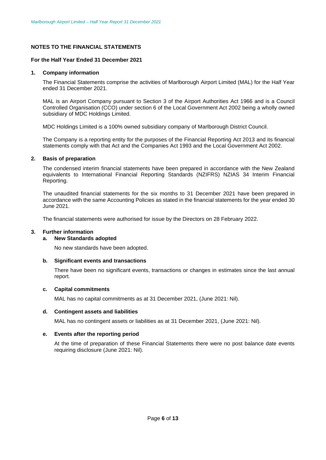#### **NOTES TO THE FINANCIAL STATEMENTS**

#### **For the Half Year Ended 31 December 2021**

#### **1. Company information**

The Financial Statements comprise the activities of Marlborough Airport Limited (MAL) for the Half Year ended 31 December 2021.

MAL is an Airport Company pursuant to Section 3 of the Airport Authorities Act 1966 and is a Council Controlled Organisation (CCO) under section 6 of the Local Government Act 2002 being a wholly owned subsidiary of MDC Holdings Limited.

MDC Holdings Limited is a 100% owned subsidiary company of Marlborough District Council.

The Company is a reporting entity for the purposes of the Financial Reporting Act 2013 and its financial statements comply with that Act and the Companies Act 1993 and the Local Government Act 2002.

#### **2. Basis of preparation**

The condensed interim financial statements have been prepared in accordance with the New Zealand equivalents to International Financial Reporting Standards (NZIFRS) NZIAS 34 Interim Financial Reporting.

The unaudited financial statements for the six months to 31 December 2021 have been prepared in accordance with the same Accounting Policies as stated in the financial statements for the year ended 30 June 2021.

The financial statements were authorised for issue by the Directors on 28 February 2022.

#### **3. Further information**

#### **a. New Standards adopted**

No new standards have been adopted.

#### **b. Significant events and transactions**

There have been no significant events, transactions or changes in estimates since the last annual report.

#### **c. Capital commitments**

MAL has no capital commitments as at 31 December 2021, (June 2021: Nil).

#### **d. Contingent assets and liabilities**

MAL has no contingent assets or liabilities as at 31 December 2021, (June 2021: Nil).

#### **e. Events after the reporting period**

At the time of preparation of these Financial Statements there were no post balance date events requiring disclosure (June 2021: Nil).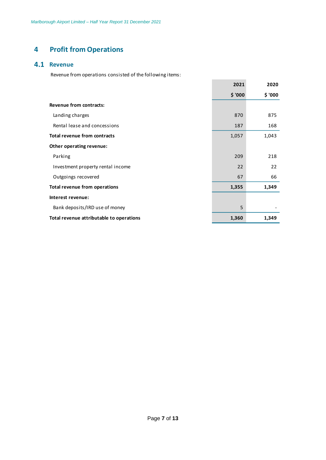# **4 Profit from Operations**

### **4.1 Revenue**

Revenue from operations consisted of the following items:

|                                          | 2021    | 2020    |
|------------------------------------------|---------|---------|
|                                          | \$ '000 | \$ '000 |
| Revenue from contracts:                  |         |         |
| Landing charges                          | 870     | 875     |
| Rental lease and concessions             | 187     | 168     |
| Total revenue from contracts             | 1,057   | 1,043   |
| Other operating revenue:                 |         |         |
| Parking                                  | 209     | 218     |
| Investment property rental income        | 22      | 22      |
| Outgoings recovered                      | 67      | 66      |
| <b>Total revenue from operations</b>     | 1,355   | 1,349   |
| Interest revenue:                        |         |         |
| Bank deposits/IRD use of money           | 5       |         |
| Total revenue attributable to operations | 1,360   | 1,349   |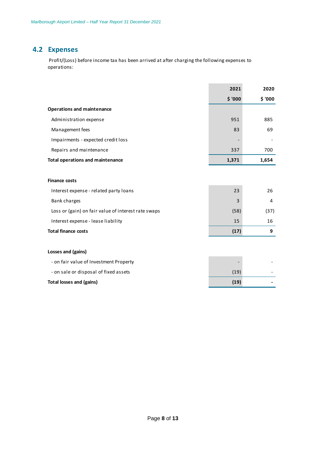## **4.2 Expenses**

 Profit/(Loss) before income tax has been arrived at after charging the following expenses to operations:

|                                                     | 2021           | 2020    |
|-----------------------------------------------------|----------------|---------|
|                                                     | \$ '000        | \$ '000 |
| <b>Operations and maintenance</b>                   |                |         |
| Administration expense                              | 951            | 885     |
| Management fees                                     | 83             | 69      |
| Impairments - expected credit loss                  | $\overline{a}$ |         |
| Repairs and maintenance                             | 337            | 700     |
| <b>Total operations and maintenance</b>             | 1,371          | 1,654   |
|                                                     |                |         |
| <b>Finance costs</b>                                |                |         |
| Interest expense - related party loans              | 23             | 26      |
| Bank charges                                        | 3              | 4       |
| Loss or (gain) on fair value of interest rate swaps | (58)           | (37)    |
| Interest expense - lease liability                  | 15             | 16      |
| <b>Total finance costs</b>                          | (17)           | 9       |
|                                                     |                |         |
| <b>Losses and (gains)</b>                           |                |         |
| - on fair value of Investment Property              |                |         |
| - on sale or disposal of fixed assets               | (19)           |         |
| <b>Total losses and (gains)</b>                     | (19)           |         |
|                                                     |                |         |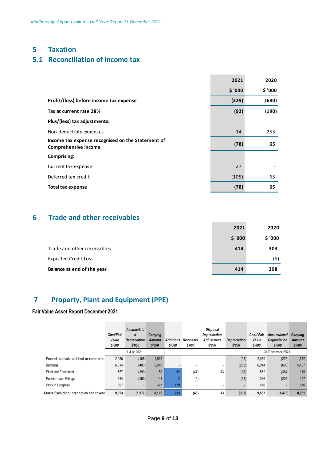## **5 Taxation**

# **5.1 Reconciliation of income tax**

|                                                                                  | 2021    | 2020    |
|----------------------------------------------------------------------------------|---------|---------|
|                                                                                  | \$ '000 | \$ '000 |
| Profit/(loss) before income tax expense                                          | (329)   | (680)   |
| Tax at current rate 28%                                                          | (92)    | (190)   |
| Plus/(less) tax adjustments:                                                     |         |         |
| Non-deductible expenses                                                          | 14      | 255     |
| Income tax expense recognised on the Statement of<br><b>Comprehensive Income</b> | (78)    | 65      |
| <b>Comprising:</b>                                                               |         |         |
| Current tax expense                                                              | 27      |         |
| Deferred tax credit                                                              | (105)   | 65      |
| <b>Total tax expense</b>                                                         | (78)    | 65      |
|                                                                                  |         |         |

## **6 Trade and other receivables**

|                             | 2021                     | 2020    |
|-----------------------------|--------------------------|---------|
|                             | \$ '000                  | \$ '000 |
| Trade and other receivables | 414                      | 303     |
| <b>Expected Credit Loss</b> | $\overline{\phantom{0}}$ | (5)     |
| Balance at end of the year  | 414                      | 298     |

# **7 Property, Plant and Equipment (PPE)**

## **Fair Value Asset Report December 2021**

| Value Asset Report December 2021        |                              |                                                  |                                     |                            |                            |                                                         |                               |                              |                                                     |                              |
|-----------------------------------------|------------------------------|--------------------------------------------------|-------------------------------------|----------------------------|----------------------------|---------------------------------------------------------|-------------------------------|------------------------------|-----------------------------------------------------|------------------------------|
|                                         | Cost/Fair<br>Value<br>\$'000 | Accumulate<br>d<br><b>Depreciation</b><br>\$'000 | Carrying<br><b>Amount</b><br>\$'000 | <b>Additions</b><br>\$'000 | <b>Disposals</b><br>\$'000 | Disposal<br><b>Depreciation</b><br>Adjustment<br>\$'000 | <b>Depreciation</b><br>\$'000 | Cost/Fair<br>Value<br>\$'000 | <b>Accumulated</b><br><b>Depreciation</b><br>\$'000 | Carrying<br>Amount<br>\$'000 |
|                                         |                              | 1 July 2021                                      |                                     |                            |                            |                                                         |                               |                              | 31 December 2021                                    |                              |
| Freehold carparks and land improvements | 2,050                        | (185)                                            | 1,865                               |                            |                            |                                                         | (93)                          | 2,050                        | (278)                                               | 1,772                        |
| <b>Buildings</b>                        | 6,014                        | (403)                                            | 5,610                               | $\overline{\phantom{a}}$   | $\overline{\phantom{a}}$   | ٠                                                       | (203)                         | 6,014                        | (606)                                               | 5,407                        |
| <b>Plant and Equipment</b>              | 557                          | (399)                                            | 158                                 | 52                         | (47)                       | 33                                                      | (18)                          | 562                          | (384)                                               | 178                          |
| Furniture and Fittings                  | 334                          | (190)                                            | 144                                 | $\overline{2}$             | (1)                        | ٠                                                       | (18)                          | 336                          | (208)                                               | 127                          |
| Work In Progress                        | 397                          | $\overline{\phantom{a}}$                         | 397                                 | 179                        | ٠                          | ٠                                                       | $\overline{\phantom{a}}$      | 576                          | ٠                                                   | 576                          |
| Assets Excluding Intangibles and Invest | 9,353                        | (1, 177)                                         | 8,176                               | 233                        | (48)                       | 33                                                      | (332)                         | 9,537                        | (1, 476)                                            | 8,061                        |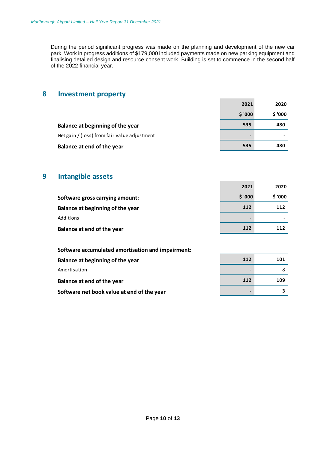During the period significant progress was made on the planning and development of the new car park. Work in progress additions of \$179,000 included payments made on new parking equipment and finalising detailed design and resource consent work. Building is set to commence in the second half of the 2022 financial year.

## **8 Investment property**

|                                              | 2021                     | 2020    |
|----------------------------------------------|--------------------------|---------|
|                                              | \$ '000                  | \$ '000 |
| Balance at beginning of the year             | 535                      | 480     |
| Net gain / (loss) from fair value adjustment | $\overline{\phantom{0}}$ |         |
| Balance at end of the year                   | 535                      | 480     |

## **9 Intangible assets**

|                                  | 2021                     | 2020    |
|----------------------------------|--------------------------|---------|
| Software gross carrying amount:  | \$ '000                  | \$ '000 |
| Balance at beginning of the year | 112                      | 112     |
| Additions                        | $\overline{\phantom{a}}$ |         |
| Balance at end of the year       | 112                      | 112     |

| Software accumulated amortisation and impairment: |     |     |
|---------------------------------------------------|-----|-----|
| Balance at beginning of the year                  | 112 | 101 |
| Amortisation                                      | ٠   |     |
| Balance at end of the year                        | 112 | 109 |
| Software net book value at end of the year        | ۰   |     |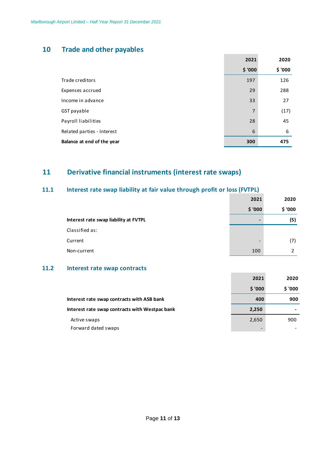# **10 Trade and other payables**

|                            | 2021           | 2020    |
|----------------------------|----------------|---------|
|                            | \$ '000        | \$ '000 |
| Trade creditors            | 197            | 126     |
| Expenses accrued           | 29             | 288     |
| Income in advance          | 33             | 27      |
| GST payable                | $\overline{7}$ | (17)    |
| Payroll liabilities        | 28             | 45      |
| Related parties - Interest | 6              | 6       |
| Balance at end of the year | 300            | 475     |

# **11 Derivative financial instruments (interest rate swaps)**

# **11.1 Interest rate swap liability at fair value through profit or loss (FVTPL)**

|                                       | 2021                     | 2020    |
|---------------------------------------|--------------------------|---------|
|                                       | \$ '000                  | \$ '000 |
| Interest rate swap liability at FVTPL | -                        | (5)     |
| Classified as:                        |                          |         |
| Current                               | $\overline{\phantom{0}}$ | (7)     |
| Non-current                           | 100                      |         |

## **11.2 Interest rate swap contracts**

|                                                | 2021                     | 2020    |
|------------------------------------------------|--------------------------|---------|
|                                                | \$ '000                  | \$ '000 |
| Interest rate swap contracts with ASB bank     | 400                      | 900     |
| Interest rate swap contracts with Westpac bank | 2,250                    |         |
| Active swaps                                   | 2,650                    | 900     |
| Forward dated swaps                            | $\overline{\phantom{a}}$ |         |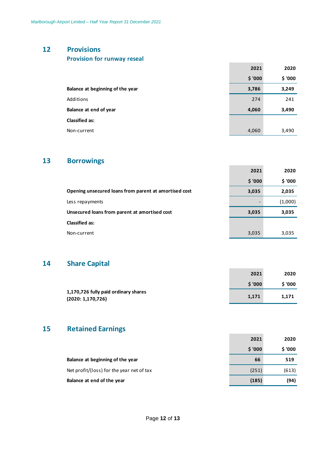# **12 Provisions**

| <b>Provision for runway reseal</b> |  |  |
|------------------------------------|--|--|
|------------------------------------|--|--|

|                                  | 2021    | 2020    |
|----------------------------------|---------|---------|
|                                  | \$ '000 | \$ '000 |
| Balance at beginning of the year | 3,786   | 3,249   |
| Additions                        | 274     | 241     |
| Balance at end of year           | 4,060   | 3,490   |
| <b>Classified as:</b>            |         |         |
| Non-current                      | 4,060   | 3,490   |

# **13 Borrowings**

|                                                       | 2021                     | 2020    |
|-------------------------------------------------------|--------------------------|---------|
|                                                       | \$ '000                  | \$ '000 |
| Opening unsecured loans from parent at amortised cost | 3,035                    | 2,035   |
| Less repayments                                       | $\overline{\phantom{a}}$ | (1,000) |
| Unsecured loans from parent at amortised cost         | 3,035                    | 3,035   |
| <b>Classified as:</b>                                 |                          |         |
| Non-current                                           | 3,035                    | 3,035   |

# **14 Share Capital**

| _________                                                |        |         |
|----------------------------------------------------------|--------|---------|
|                                                          | 2021   | 2020    |
|                                                          | \$'000 | \$ '000 |
| 1,170,726 fully paid ordinary shares<br>(2020:1,170,726) | 1,171  | 1.171   |

# **15 Retained Earnings**

|                                           | 2021    | 2020    |
|-------------------------------------------|---------|---------|
|                                           | \$ '000 | \$ '000 |
| Balance at beginning of the year          | 66      | 519     |
| Net profit/(loss) for the year net of tax | (251)   | (613)   |
| Balance at end of the year                | (185)   | (94)    |